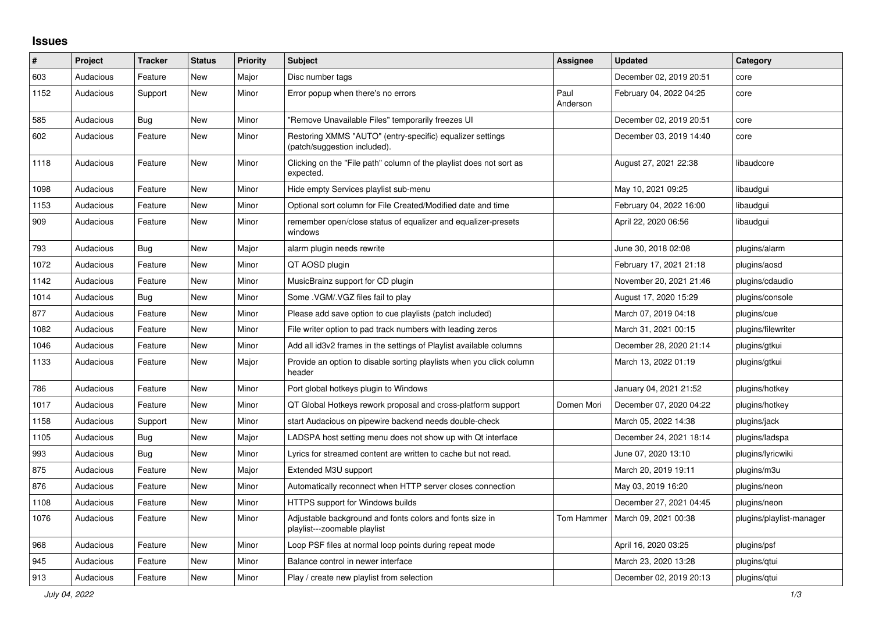## **Issues**

| ∦    | Project   | <b>Tracker</b> | <b>Status</b> | <b>Priority</b> | <b>Subject</b>                                                                            | <b>Assignee</b>  | <b>Updated</b>          | Category                 |
|------|-----------|----------------|---------------|-----------------|-------------------------------------------------------------------------------------------|------------------|-------------------------|--------------------------|
| 603  | Audacious | Feature        | <b>New</b>    | Major           | Disc number tags                                                                          |                  | December 02, 2019 20:51 | core                     |
| 1152 | Audacious | Support        | New           | Minor           | Error popup when there's no errors                                                        | Paul<br>Anderson | February 04, 2022 04:25 | core                     |
| 585  | Audacious | <b>Bug</b>     | <b>New</b>    | Minor           | "Remove Unavailable Files" temporarily freezes UI                                         |                  | December 02, 2019 20:51 | core                     |
| 602  | Audacious | Feature        | <b>New</b>    | Minor           | Restoring XMMS "AUTO" (entry-specific) equalizer settings<br>(patch/suggestion included). |                  | December 03, 2019 14:40 | core                     |
| 1118 | Audacious | Feature        | New           | Minor           | Clicking on the "File path" column of the playlist does not sort as<br>expected.          |                  | August 27, 2021 22:38   | libaudcore               |
| 1098 | Audacious | Feature        | New           | Minor           | Hide empty Services playlist sub-menu                                                     |                  | May 10, 2021 09:25      | libaudgui                |
| 1153 | Audacious | Feature        | <b>New</b>    | Minor           | Optional sort column for File Created/Modified date and time                              |                  | February 04, 2022 16:00 | libaudgui                |
| 909  | Audacious | Feature        | <b>New</b>    | Minor           | remember open/close status of equalizer and equalizer-presets<br>windows                  |                  | April 22, 2020 06:56    | libaudgui                |
| 793  | Audacious | Bug            | New           | Major           | alarm plugin needs rewrite                                                                |                  | June 30, 2018 02:08     | plugins/alarm            |
| 1072 | Audacious | Feature        | <b>New</b>    | Minor           | QT AOSD plugin                                                                            |                  | February 17, 2021 21:18 | plugins/aosd             |
| 1142 | Audacious | Feature        | <b>New</b>    | Minor           | MusicBrainz support for CD plugin                                                         |                  | November 20, 2021 21:46 | plugins/cdaudio          |
| 1014 | Audacious | Bug            | <b>New</b>    | Minor           | Some .VGM/.VGZ files fail to play                                                         |                  | August 17, 2020 15:29   | plugins/console          |
| 877  | Audacious | Feature        | <b>New</b>    | Minor           | Please add save option to cue playlists (patch included)                                  |                  | March 07, 2019 04:18    | plugins/cue              |
| 1082 | Audacious | Feature        | <b>New</b>    | Minor           | File writer option to pad track numbers with leading zeros                                |                  | March 31, 2021 00:15    | plugins/filewriter       |
| 1046 | Audacious | Feature        | New           | Minor           | Add all id3v2 frames in the settings of Playlist available columns                        |                  | December 28, 2020 21:14 | plugins/gtkui            |
| 1133 | Audacious | Feature        | <b>New</b>    | Major           | Provide an option to disable sorting playlists when you click column<br>header            |                  | March 13, 2022 01:19    | plugins/gtkui            |
| 786  | Audacious | Feature        | New           | Minor           | Port global hotkeys plugin to Windows                                                     |                  | January 04, 2021 21:52  | plugins/hotkey           |
| 1017 | Audacious | Feature        | <b>New</b>    | Minor           | QT Global Hotkeys rework proposal and cross-platform support                              | Domen Mori       | December 07, 2020 04:22 | plugins/hotkey           |
| 1158 | Audacious | Support        | <b>New</b>    | Minor           | start Audacious on pipewire backend needs double-check                                    |                  | March 05, 2022 14:38    | plugins/jack             |
| 1105 | Audacious | Bug            | <b>New</b>    | Major           | LADSPA host setting menu does not show up with Qt interface                               |                  | December 24, 2021 18:14 | plugins/ladspa           |
| 993  | Audacious | Bug            | <b>New</b>    | Minor           | Lyrics for streamed content are written to cache but not read.                            |                  | June 07, 2020 13:10     | plugins/lyricwiki        |
| 875  | Audacious | Feature        | <b>New</b>    | Major           | Extended M3U support                                                                      |                  | March 20, 2019 19:11    | plugins/m3u              |
| 876  | Audacious | Feature        | <b>New</b>    | Minor           | Automatically reconnect when HTTP server closes connection                                |                  | May 03, 2019 16:20      | plugins/neon             |
| 1108 | Audacious | Feature        | New           | Minor           | <b>HTTPS support for Windows builds</b>                                                   |                  | December 27, 2021 04:45 | plugins/neon             |
| 1076 | Audacious | Feature        | <b>New</b>    | Minor           | Adjustable background and fonts colors and fonts size in<br>playlist---zoomable playlist  | Tom Hammer       | March 09, 2021 00:38    | plugins/playlist-manager |
| 968  | Audacious | Feature        | New           | Minor           | Loop PSF files at normal loop points during repeat mode                                   |                  | April 16, 2020 03:25    | plugins/psf              |
| 945  | Audacious | Feature        | <b>New</b>    | Minor           | Balance control in newer interface                                                        |                  | March 23, 2020 13:28    | plugins/gtui             |
| 913  | Audacious | Feature        | <b>New</b>    | Minor           | Play / create new playlist from selection                                                 |                  | December 02, 2019 20:13 | plugins/gtui             |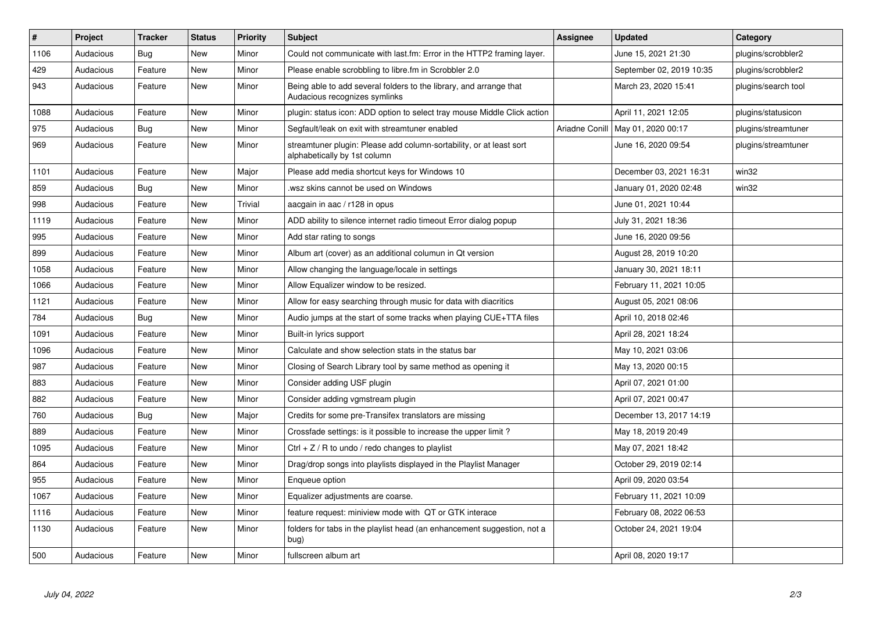| $\vert$ # | Project   | <b>Tracker</b> | <b>Status</b> | <b>Priority</b> | <b>Subject</b>                                                                                      | Assignee | <b>Updated</b>                      | Category            |
|-----------|-----------|----------------|---------------|-----------------|-----------------------------------------------------------------------------------------------------|----------|-------------------------------------|---------------------|
| 1106      | Audacious | <b>Bug</b>     | <b>New</b>    | Minor           | Could not communicate with last.fm: Error in the HTTP2 framing layer.                               |          | June 15, 2021 21:30                 | plugins/scrobbler2  |
| 429       | Audacious | Feature        | <b>New</b>    | Minor           | Please enable scrobbling to libre.fm in Scrobbler 2.0                                               |          | September 02, 2019 10:35            | plugins/scrobbler2  |
| 943       | Audacious | Feature        | <b>New</b>    | Minor           | Being able to add several folders to the library, and arrange that<br>Audacious recognizes symlinks |          | March 23, 2020 15:41                | plugins/search tool |
| 1088      | Audacious | Feature        | <b>New</b>    | Minor           | plugin: status icon: ADD option to select tray mouse Middle Click action                            |          | April 11, 2021 12:05                | plugins/statusicon  |
| 975       | Audacious | Bug            | <b>New</b>    | Minor           | Segfault/leak on exit with streamtuner enabled                                                      |          | Ariadne Conill   May 01, 2020 00:17 | plugins/streamtuner |
| 969       | Audacious | Feature        | <b>New</b>    | Minor           | streamtuner plugin: Please add column-sortability, or at least sort<br>alphabetically by 1st column |          | June 16, 2020 09:54                 | plugins/streamtuner |
| 1101      | Audacious | Feature        | <b>New</b>    | Major           | Please add media shortcut keys for Windows 10                                                       |          | December 03, 2021 16:31             | win32               |
| 859       | Audacious | Bug            | <b>New</b>    | Minor           | wsz skins cannot be used on Windows.                                                                |          | January 01, 2020 02:48              | win32               |
| 998       | Audacious | Feature        | <b>New</b>    | Trivial         | aacgain in aac / r128 in opus                                                                       |          | June 01, 2021 10:44                 |                     |
| 1119      | Audacious | Feature        | <b>New</b>    | Minor           | ADD ability to silence internet radio timeout Error dialog popup                                    |          | July 31, 2021 18:36                 |                     |
| 995       | Audacious | Feature        | <b>New</b>    | Minor           | Add star rating to songs                                                                            |          | June 16, 2020 09:56                 |                     |
| 899       | Audacious | Feature        | <b>New</b>    | Minor           | Album art (cover) as an additional columun in Qt version                                            |          | August 28, 2019 10:20               |                     |
| 1058      | Audacious | Feature        | <b>New</b>    | Minor           | Allow changing the language/locale in settings                                                      |          | January 30, 2021 18:11              |                     |
| 1066      | Audacious | Feature        | <b>New</b>    | Minor           | Allow Equalizer window to be resized.                                                               |          | February 11, 2021 10:05             |                     |
| 1121      | Audacious | Feature        | <b>New</b>    | Minor           | Allow for easy searching through music for data with diacritics                                     |          | August 05, 2021 08:06               |                     |
| 784       | Audacious | Bug            | <b>New</b>    | Minor           | Audio jumps at the start of some tracks when playing CUE+TTA files                                  |          | April 10, 2018 02:46                |                     |
| 1091      | Audacious | Feature        | <b>New</b>    | Minor           | Built-in lyrics support                                                                             |          | April 28, 2021 18:24                |                     |
| 1096      | Audacious | Feature        | <b>New</b>    | Minor           | Calculate and show selection stats in the status bar                                                |          | May 10, 2021 03:06                  |                     |
| 987       | Audacious | Feature        | <b>New</b>    | Minor           | Closing of Search Library tool by same method as opening it                                         |          | May 13, 2020 00:15                  |                     |
| 883       | Audacious | Feature        | <b>New</b>    | Minor           | Consider adding USF plugin                                                                          |          | April 07, 2021 01:00                |                     |
| 882       | Audacious | Feature        | <b>New</b>    | Minor           | Consider adding vgmstream plugin                                                                    |          | April 07, 2021 00:47                |                     |
| 760       | Audacious | Bug            | <b>New</b>    | Major           | Credits for some pre-Transifex translators are missing                                              |          | December 13, 2017 14:19             |                     |
| 889       | Audacious | Feature        | <b>New</b>    | Minor           | Crossfade settings: is it possible to increase the upper limit?                                     |          | May 18, 2019 20:49                  |                     |
| 1095      | Audacious | Feature        | <b>New</b>    | Minor           | Ctrl $+$ Z / R to undo / redo changes to playlist                                                   |          | May 07, 2021 18:42                  |                     |
| 864       | Audacious | Feature        | <b>New</b>    | Minor           | Drag/drop songs into playlists displayed in the Playlist Manager                                    |          | October 29, 2019 02:14              |                     |
| 955       | Audacious | Feature        | <b>New</b>    | Minor           | Enqueue option                                                                                      |          | April 09, 2020 03:54                |                     |
| 1067      | Audacious | Feature        | <b>New</b>    | Minor           | Equalizer adjustments are coarse.                                                                   |          | February 11, 2021 10:09             |                     |
| 1116      | Audacious | Feature        | <b>New</b>    | Minor           | feature request: miniview mode with QT or GTK interace                                              |          | February 08, 2022 06:53             |                     |
| 1130      | Audacious | Feature        | <b>New</b>    | Minor           | folders for tabs in the playlist head (an enhancement suggestion, not a<br>bug)                     |          | October 24, 2021 19:04              |                     |
| 500       | Audacious | Feature        | <b>New</b>    | Minor           | fullscreen album art                                                                                |          | April 08, 2020 19:17                |                     |